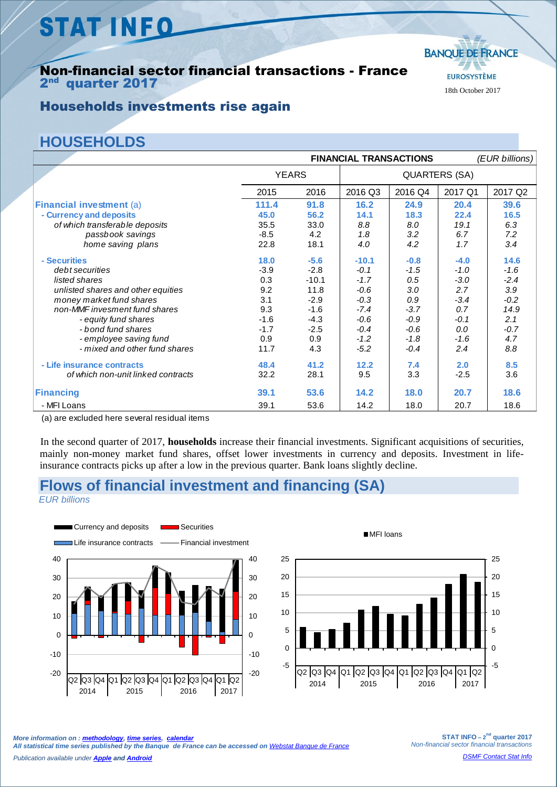# **STAT INFO**

#### Non-financial sector financial transactions - France 2<sup>nd</sup> quarter 2017



#### Households investments rise again

### **HOUSEHOLDS**

|                                                        | <b>FINANCIAL TRANSACTIONS</b> |         |         |                      |         | (EUR billions) |  |
|--------------------------------------------------------|-------------------------------|---------|---------|----------------------|---------|----------------|--|
|                                                        | <b>YEARS</b>                  |         |         | <b>QUARTERS (SA)</b> |         |                |  |
|                                                        | 2015                          | 2016    | 2016 Q3 | 2016 Q4              | 2017 Q1 | 2017 Q2        |  |
| <b>Financial investment (a)</b>                        | 111.4                         | 91.8    | 16.2    | 24.9                 | 20.4    | 39.6           |  |
| - Currency and deposits                                | 45.0                          | 56.2    | 14.1    | 18.3                 | 22.4    | 16.5           |  |
| of which transferable deposits                         | 35.5                          | 33.0    | 8.8     | 8.0                  | 19.1    | 6.3            |  |
| passbook savings                                       | $-8.5$                        | 4.2     | 1.8     | 3.2                  | 6.7     | 7.2            |  |
| home saving plans                                      | 22.8                          | 18.1    | 4.0     | 4.2                  | 1.7     | 3.4            |  |
| - Securities                                           | 18.0                          | $-5.6$  | $-10.1$ | $-0.8$               | $-4.0$  | 14.6           |  |
| debt securities                                        | $-3.9$                        | $-2.8$  | $-0.1$  | $-1.5$               | $-1.0$  | $-1.6$         |  |
| listed shares                                          | 0.3                           | $-10.1$ | $-1.7$  | 0.5                  | $-3.0$  | $-2.4$         |  |
| unlisted shares and other equities                     | 9.2                           | 11.8    | $-0.6$  | 3.0                  | 2.7     | 3.9            |  |
| money market fund shares                               | 3.1                           | $-2.9$  | $-0.3$  | 0.9                  | $-3.4$  | $-0.2$         |  |
| non-MMF invesment fund shares                          | 9.3                           | $-1.6$  | $-7.4$  | $-3.7$               | 0.7     | 14.9           |  |
| - equity fund shares                                   | $-1.6$                        | $-4.3$  | $-0.6$  | $-0.9$               | $-0.1$  | 2.1            |  |
| - bond fund shares                                     | $-1.7$                        | $-2.5$  | $-0.4$  | $-0.6$               | 0.0     | $-0.7$         |  |
| - employee saving fund                                 | 0.9                           | 0.9     | $-1.2$  | $-1.8$               | $-1.6$  | 4.7            |  |
| - mixed and other fund shares                          | 11.7                          | 4.3     | $-5.2$  | $-0.4$               | 2.4     | 8.8            |  |
| - Life insurance contracts                             | 48.4                          | 41.2    | 12.2    | 7.4                  | 2.0     | 8.5            |  |
| of which non-unit linked contracts                     | 32.2                          | 28.1    | 9.5     | 3.3                  | $-2.5$  | 3.6            |  |
| Financing                                              | 39.1                          | 53.6    | 14.2    | 18.0                 | 20.7    | 18.6           |  |
| - MFI Loans                                            | 39.1                          | 53.6    | 14.2    | 18.0                 | 20.7    | 18.6           |  |
| $(a)$ and arraical label and account no aided it and a |                               |         |         |                      |         |                |  |

(a) are excluded here several residual items

In the second quarter of 2017, **households** increase their financial investments. Significant acquisitions of securities, mainly non-money market fund shares, offset lower investments in currency and deposits. Investment in lifeinsurance contracts picks up after a low in the previous quarter. Bank loans slightly decline.

#### **Flows of financial investment and financing (SA)**

*EUR billions*



MFI loans



**STAT INFO** –  $2^{nd}$  quarter 2017 *Non-financial sector financial transactions*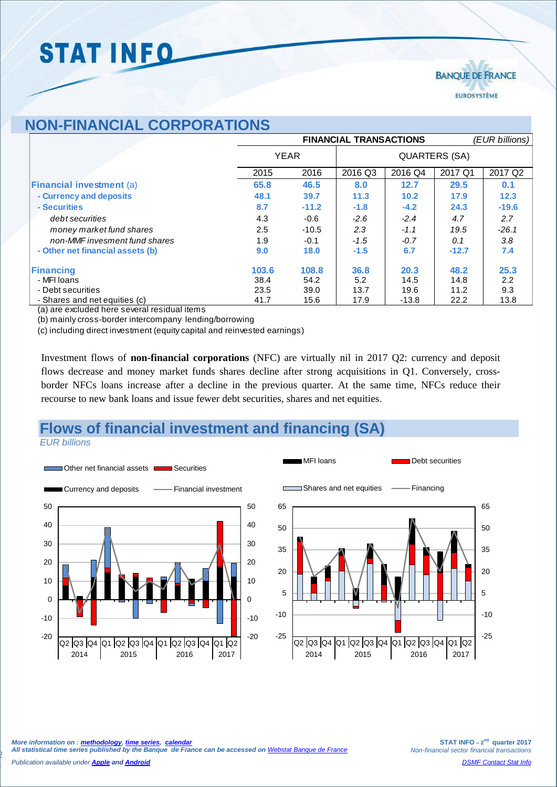# **STAT INFO**



### **NON-FINANCIAL CORPORATIONS**

|                                  | <b>FINANCIAL TRANSACTIONS</b> |         |               |         |         | (EUR billions) |  |
|----------------------------------|-------------------------------|---------|---------------|---------|---------|----------------|--|
|                                  | <b>YEAR</b>                   |         | QUARTERS (SA) |         |         |                |  |
|                                  | 2015                          | 2016    | 2016 Q3       | 2016 Q4 | 2017 Q1 | 2017 Q2        |  |
| <b>Financial investment (a)</b>  | 65.8                          | 46.5    | 8.0           | 12.7    | 29.5    | 0.1            |  |
| - Currency and deposits          | 48.1                          | 39.7    | 11.3          | 10.2    | 17.9    | 12.3           |  |
| - Securities                     | 8.7                           | $-11.2$ | $-1.8$        | $-4.2$  | 24.3    | $-19.6$        |  |
| debt securities                  | 4.3                           | $-0.6$  | $-2.6$        | $-2.4$  | 4.7     | 2.7            |  |
| money market fund shares         | 2.5                           | $-10.5$ | 2.3           | $-1.1$  | 19.5    | $-26.1$        |  |
| non-MMF invesment fund shares    | 1.9                           | $-0.1$  | $-1.5$        | $-0.7$  | 0.1     | 3.8            |  |
| - Other net financial assets (b) | 9.0                           | 18.0    | $-1.5$        | 6.7     | $-12.7$ | 7.4            |  |
| Financing                        | 103.6                         | 108.8   | 36.8          | 20.3    | 48.2    | 25.3           |  |
| - MFI Ioans                      | 38.4                          | 54.2    | 5.2           | 14.5    | 14.8    | 2.2            |  |
| - Debt securities                | 23.5                          | 39.0    | 13.7          | 19.6    | 11.2    | 9.3            |  |
| - Shares and net equities (c)    | 41.7                          | 15.6    | 17.9          | $-13.8$ | 22.2    | 13.8           |  |

(a) are excluded here several residual items

(b) mainly cross-border intercompany lending/borrowing

(c) including direct investment (equity capital and reinvested earnings)

Investment flows of **non-financial corporations** (NFC) are virtually nil in 2017 Q2: currency and deposit flows decrease and money market funds shares decline after strong acquisitions in Q1. Conversely, crossborder NFCs loans increase after a decline in the previous quarter. At the same time, NFCs reduce their recourse to new bank loans and issue fewer debt securities, shares and net equities.

### **Flows of financial investment and financing (SA)**

*EUR billions*

2